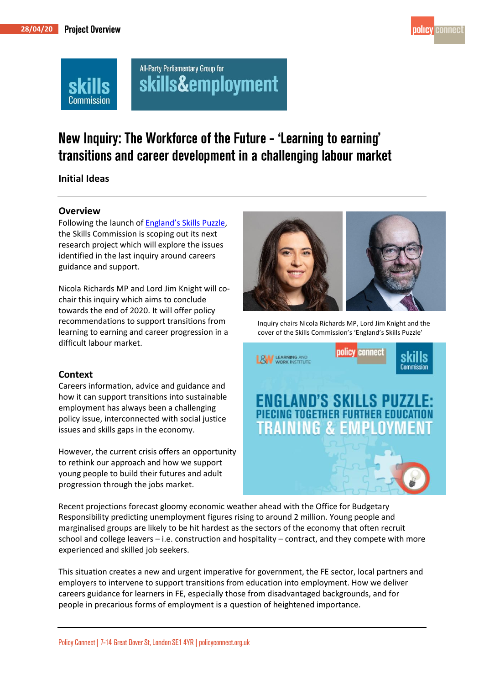

# All-Party Parliamentary Group for skills&employment

# New Inquiry: The Workforce of the Future - 'Learning to earning' transitions and career development in a challenging labour market

### **Initial Ideas**

¦ommission

#### **Overview**

Following the launch of [England's](https://www.policyconnect.org.uk/sc/news/skills-commission-new-report) Skills Puzzle, the Skills Commission is scoping out its next research project which will explore the issues identified in the last inquiry around careers guidance and support.

Nicola Richards MP and Lord Jim Knight will cochair this inquiry which aims to conclude towards the end of 2020. It will offer policy recommendations to support transitions from learning to earning and career progression in a difficult labour market.

#### **Context**

Careers information, advice and guidance and how it can support transitions into sustainable employment has always been a challenging policy issue, interconnected with social justice issues and skills gaps in the economy.

However, the current crisis offers an opportunity to rethink our approach and how we support young people to build their futures and adult progression through the jobs market.



Inquiry chairs Nicola Richards MP, Lord Jim Knight and the cover of the Skills Commission's 'England's Skills Puzzle'



Recent projections forecast gloomy economic weather ahead with the Office for Budgetary Responsibility predicting unemployment figures rising to around 2 million. Young people and marginalised groups are likely to be hit hardest as the sectors of the economy that often recruit school and college leavers – i.e. construction and hospitality – contract, and they compete with more experienced and skilled job seekers.

This situation creates a new and urgent imperative for government, the FE sector, local partners and employers to intervene to support transitions from education into employment. How we deliver careers guidance for learners in FE, especially those from disadvantaged backgrounds, and for people in precarious forms of employment is a question of heightened importance.